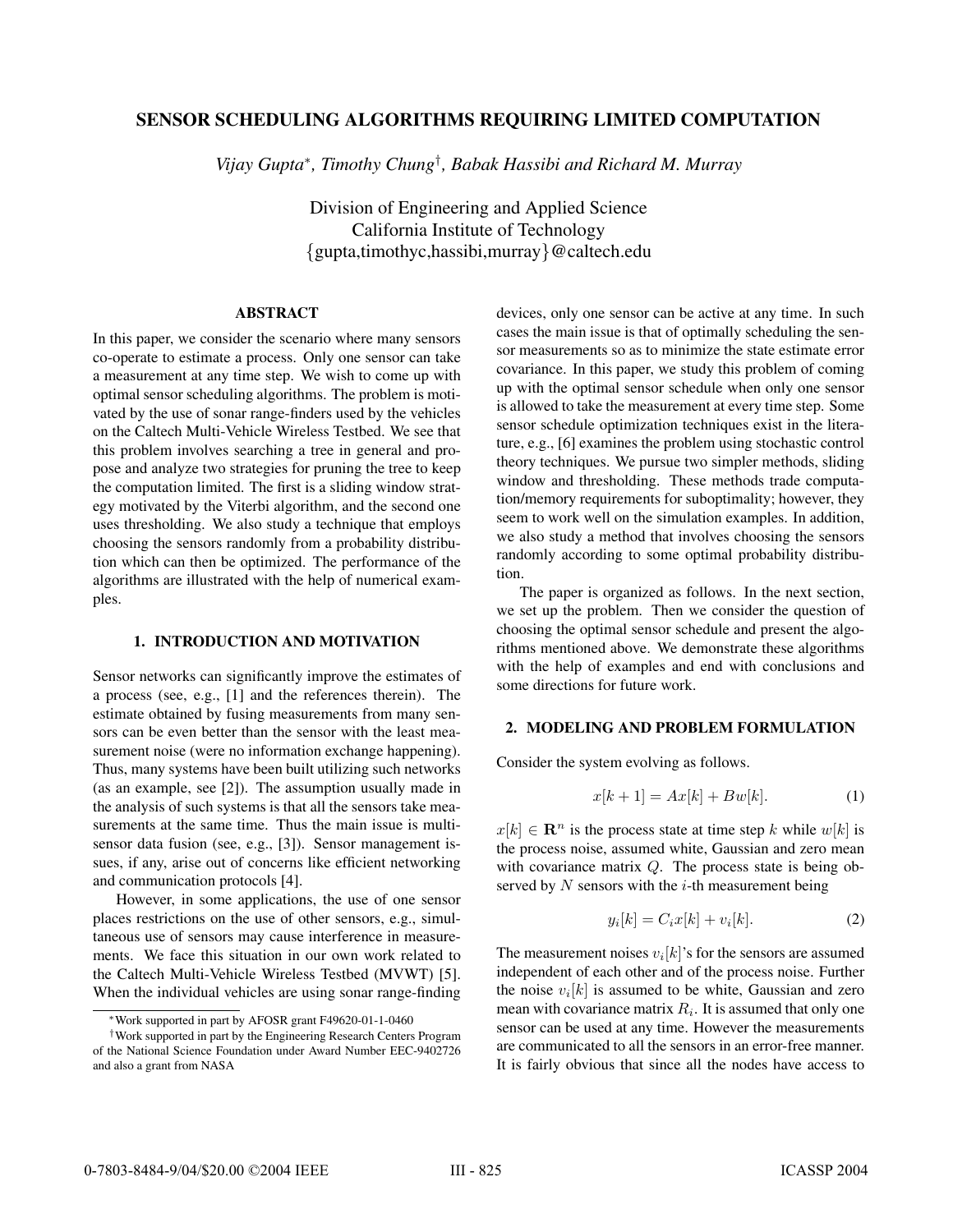# **SENSOR SCHEDULING ALGORITHMS REQUIRING LIMITED COMPUTATION**

*Vijay Gupta*∗*, Timothy Chung*† *, Babak Hassibi and Richard M. Murray*

Division of Engineering and Applied Science California Institute of Technology {gupta,timothyc,hassibi,murray}@caltech.edu

### **ABSTRACT**

In this paper, we consider the scenario where many sensors co-operate to estimate a process. Only one sensor can take a measurement at any time step. We wish to come up with optimal sensor scheduling algorithms. The problem is motivated by the use of sonar range-finders used by the vehicles on the Caltech Multi-Vehicle Wireless Testbed. We see that this problem involves searching a tree in general and propose and analyze two strategies for pruning the tree to keep the computation limited. The first is a sliding window strategy motivated by the Viterbi algorithm, and the second one uses thresholding. We also study a technique that employs choosing the sensors randomly from a probability distribution which can then be optimized. The performance of the algorithms are illustrated with the help of numerical examples.

## **1. INTRODUCTION AND MOTIVATION**

Sensor networks can significantly improve the estimates of a process (see, e.g., [1] and the references therein). The estimate obtained by fusing measurements from many sensors can be even better than the sensor with the least measurement noise (were no information exchange happening). Thus, many systems have been built utilizing such networks (as an example, see [2]). The assumption usually made in the analysis of such systems is that all the sensors take measurements at the same time. Thus the main issue is multisensor data fusion (see, e.g., [3]). Sensor management issues, if any, arise out of concerns like efficient networking and communication protocols [4].

However, in some applications, the use of one sensor places restrictions on the use of other sensors, e.g., simultaneous use of sensors may cause interference in measurements. We face this situation in our own work related to the Caltech Multi-Vehicle Wireless Testbed (MVWT) [5]. When the individual vehicles are using sonar range-finding devices, only one sensor can be active at any time. In such cases the main issue is that of optimally scheduling the sensor measurements so as to minimize the state estimate error covariance. In this paper, we study this problem of coming up with the optimal sensor schedule when only one sensor is allowed to take the measurement at every time step. Some sensor schedule optimization techniques exist in the literature, e.g., [6] examines the problem using stochastic control theory techniques. We pursue two simpler methods, sliding window and thresholding. These methods trade computation/memory requirements for suboptimality; however, they seem to work well on the simulation examples. In addition, we also study a method that involves choosing the sensors randomly according to some optimal probability distribution.

The paper is organized as follows. In the next section, we set up the problem. Then we consider the question of choosing the optimal sensor schedule and present the algorithms mentioned above. We demonstrate these algorithms with the help of examples and end with conclusions and some directions for future work.

# **2. MODELING AND PROBLEM FORMULATION**

Consider the system evolving as follows.

$$
x[k+1] = Ax[k] + Bw[k]. \tag{1}
$$

 $x[k] \in \mathbb{R}^n$  is the process state at time step k while  $w[k]$  is the process noise, assumed white, Gaussian and zero mean with covariance matrix Q. The process state is being observed by  $N$  sensors with the  $i$ -th measurement being

$$
y_i[k] = C_i x[k] + v_i[k]. \tag{2}
$$

The measurement noises  $v_i[k]$ 's for the sensors are assumed independent of each other and of the process noise. Further the noise  $v_i[k]$  is assumed to be white, Gaussian and zero mean with covariance matrix  $R_i$ . It is assumed that only one sensor can be used at any time. However the measurements are communicated to all the sensors in an error-free manner. It is fairly obvious that since all the nodes have access to

<sup>∗</sup>Work supported in part by AFOSR grant F49620-01-1-0460

<sup>†</sup>Work supported in part by the Engineering Research Centers Program of the National Science Foundation under Award Number EEC-9402726 and also a grant from NASA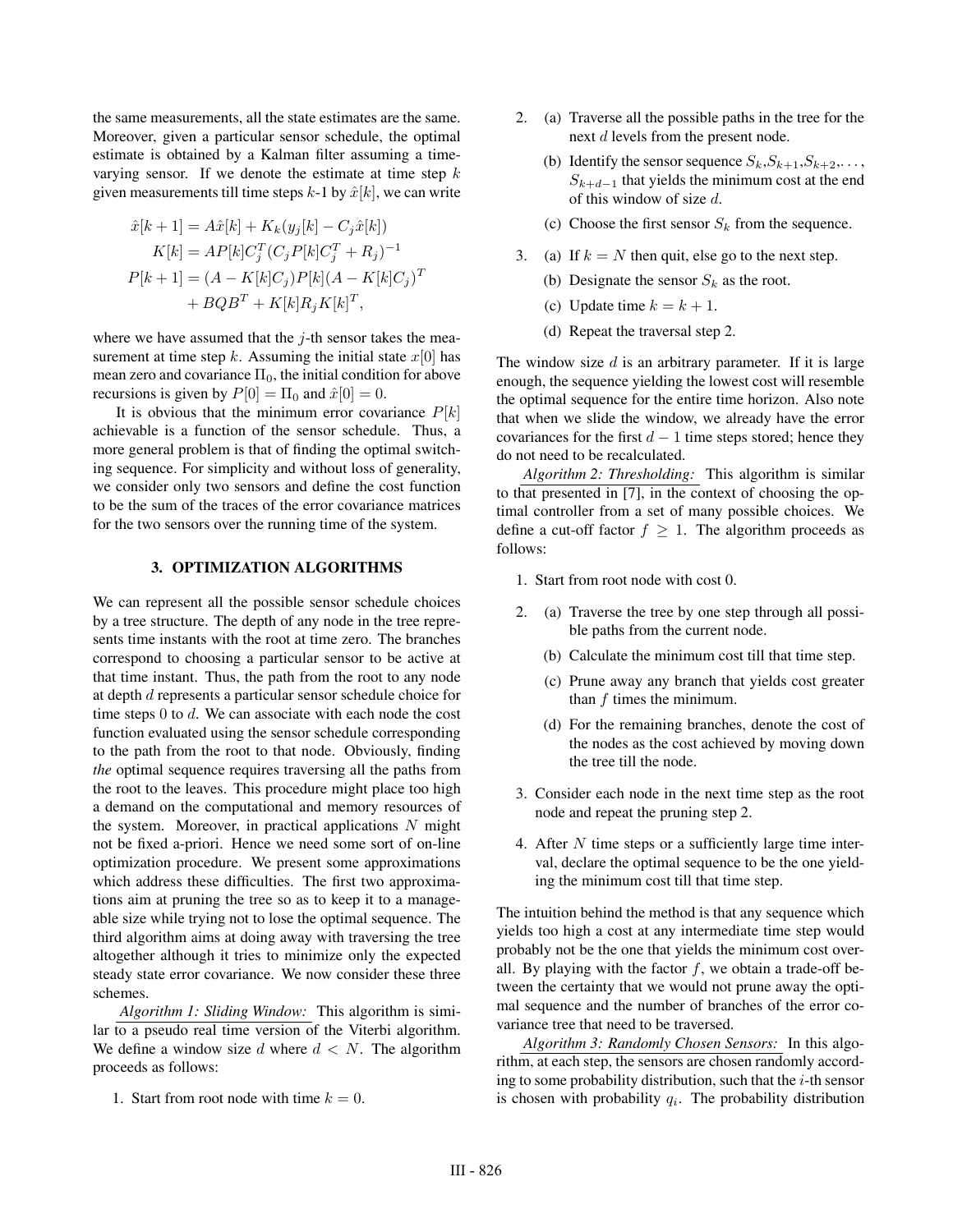the same measurements, all the state estimates are the same. Moreover, given a particular sensor schedule, the optimal estimate is obtained by a Kalman filter assuming a timevarying sensor. If we denote the estimate at time step  $k$ given measurements till time steps  $k-1$  by  $\hat{x}[k]$ , we can write

$$
\hat{x}[k+1] = A\hat{x}[k] + K_k(y_j[k] - C_j\hat{x}[k])
$$
  
\n
$$
K[k] = AP[k]C_j^T(C_jP[k]C_j^T + R_j)^{-1}
$$
  
\n
$$
P[k+1] = (A - K[k]C_j)P[k](A - K[k]C_j)^T
$$
  
\n
$$
+ BQB^T + K[k]R_jK[k]^T,
$$

where we have assumed that the  $j$ -th sensor takes the measurement at time step k. Assuming the initial state  $x[0]$  has mean zero and covariance  $\Pi_0$ , the initial condition for above recursions is given by  $P[0] = \Pi_0$  and  $\hat{x}[0] = 0$ .

It is obvious that the minimum error covariance  $P[k]$ achievable is a function of the sensor schedule. Thus, a more general problem is that of finding the optimal switching sequence. For simplicity and without loss of generality, we consider only two sensors and define the cost function to be the sum of the traces of the error covariance matrices for the two sensors over the running time of the system.

#### **3. OPTIMIZATION ALGORITHMS**

We can represent all the possible sensor schedule choices by a tree structure. The depth of any node in the tree represents time instants with the root at time zero. The branches correspond to choosing a particular sensor to be active at that time instant. Thus, the path from the root to any node at depth d represents a particular sensor schedule choice for time steps  $0$  to  $d$ . We can associate with each node the cost function evaluated using the sensor schedule corresponding to the path from the root to that node. Obviously, finding *the* optimal sequence requires traversing all the paths from the root to the leaves. This procedure might place too high a demand on the computational and memory resources of the system. Moreover, in practical applications  $N$  might not be fixed a-priori. Hence we need some sort of on-line optimization procedure. We present some approximations which address these difficulties. The first two approximations aim at pruning the tree so as to keep it to a manageable size while trying not to lose the optimal sequence. The third algorithm aims at doing away with traversing the tree altogether although it tries to minimize only the expected steady state error covariance. We now consider these three schemes.

*Algorithm 1: Sliding Window:* This algorithm is similar to a pseudo real time version of the Viterbi algorithm. We define a window size d where  $d < N$ . The algorithm proceeds as follows:

1. Start from root node with time  $k = 0$ .

- 2. (a) Traverse all the possible paths in the tree for the next d levels from the present node.
	- (b) Identify the sensor sequence  $S_k, S_{k+1}, S_{k+2}, \ldots$ ,  $S_{k+d-1}$  that yields the minimum cost at the end of this window of size  $d$ .
	- (c) Choose the first sensor  $S_k$  from the sequence.
- 3. (a) If  $k = N$  then quit, else go to the next step.
	- (b) Designate the sensor  $S_k$  as the root.
	- (c) Update time  $k = k + 1$ .
	- (d) Repeat the traversal step 2.

The window size  $d$  is an arbitrary parameter. If it is large enough, the sequence yielding the lowest cost will resemble the optimal sequence for the entire time horizon. Also note that when we slide the window, we already have the error covariances for the first  $d - 1$  time steps stored; hence they do not need to be recalculated.

*Algorithm 2: Thresholding:* This algorithm is similar to that presented in [7], in the context of choosing the optimal controller from a set of many possible choices. We define a cut-off factor  $f \geq 1$ . The algorithm proceeds as follows:

- 1. Start from root node with cost 0.
- 2. (a) Traverse the tree by one step through all possible paths from the current node.
	- (b) Calculate the minimum cost till that time step.
	- (c) Prune away any branch that yields cost greater than f times the minimum.
	- (d) For the remaining branches, denote the cost of the nodes as the cost achieved by moving down the tree till the node.
- 3. Consider each node in the next time step as the root node and repeat the pruning step 2.
- 4. After N time steps or a sufficiently large time interval, declare the optimal sequence to be the one yielding the minimum cost till that time step.

The intuition behind the method is that any sequence which yields too high a cost at any intermediate time step would probably not be the one that yields the minimum cost overall. By playing with the factor  $f$ , we obtain a trade-off between the certainty that we would not prune away the optimal sequence and the number of branches of the error covariance tree that need to be traversed.

*Algorithm 3: Randomly Chosen Sensors:* In this algorithm, at each step, the sensors are chosen randomly according to some probability distribution, such that the  $i$ -th sensor is chosen with probability  $q_i$ . The probability distribution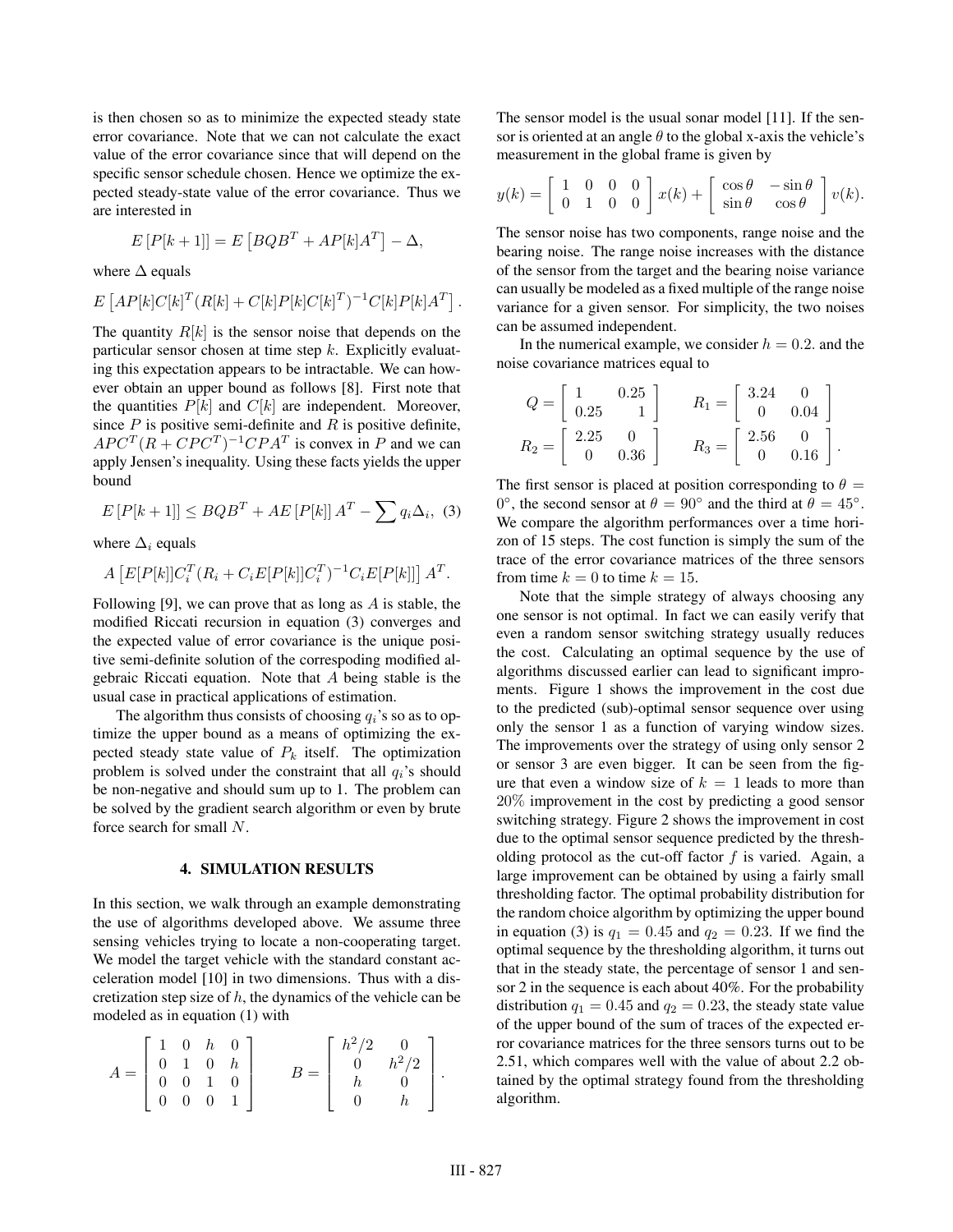is then chosen so as to minimize the expected steady state error covariance. Note that we can not calculate the exact value of the error covariance since that will depend on the specific sensor schedule chosen. Hence we optimize the expected steady-state value of the error covariance. Thus we are interested in

$$
E[P[k+1]] = E[BQB^{T} + AP[k]A^{T}] - \Delta,
$$

where  $\Delta$  equals

$$
E\left[AP[k]C[k]^T(R[k]+C[k]P[k]C[k]^T)^{-1}C[k]P[k]A^T\right].
$$

The quantity  $R[k]$  is the sensor noise that depends on the particular sensor chosen at time step  $k$ . Explicitly evaluating this expectation appears to be intractable. We can however obtain an upper bound as follows [8]. First note that the quantities  $P[k]$  and  $C[k]$  are independent. Moreover, since  $P$  is positive semi-definite and  $R$  is positive definite,  $AP C<sup>T</sup> (R + C P C<sup>T</sup>)<sup>-1</sup> C P A<sup>T</sup>$  is convex in P and we can apply Jensen's inequality. Using these facts yields the upper bound

$$
E[P[k+1]] \le BQB^T + AE[P[k]]A^T - \sum q_i \Delta_i, \quad (3)
$$

where  $\Delta_i$  equals

$$
A\left[E[P[k]]C_i^T(R_i+C_iE[P[k]]C_i^T)^{-1}C_iE[P[k]]\right]A^T.
$$

Following [9], we can prove that as long as  $A$  is stable, the modified Riccati recursion in equation (3) converges and the expected value of error covariance is the unique positive semi-definite solution of the correspoding modified algebraic Riccati equation. Note that A being stable is the usual case in practical applications of estimation.

The algorithm thus consists of choosing  $q_i$ 's so as to optimize the upper bound as a means of optimizing the expected steady state value of  $P_k$  itself. The optimization problem is solved under the constraint that all  $q_i$ 's should be non-negative and should sum up to 1. The problem can be solved by the gradient search algorithm or even by brute force search for small N.

#### **4. SIMULATION RESULTS**

In this section, we walk through an example demonstrating the use of algorithms developed above. We assume three sensing vehicles trying to locate a non-cooperating target. We model the target vehicle with the standard constant acceleration model [10] in two dimensions. Thus with a discretization step size of  $h$ , the dynamics of the vehicle can be modeled as in equation (1) with

$$
A = \begin{bmatrix} 1 & 0 & h & 0 \\ 0 & 1 & 0 & h \\ 0 & 0 & 1 & 0 \\ 0 & 0 & 0 & 1 \end{bmatrix} \qquad B = \begin{bmatrix} h^2/2 & 0 \\ 0 & h^2/2 \\ h & 0 \\ 0 & h \end{bmatrix}.
$$

The sensor model is the usual sonar model [11]. If the sensor is oriented at an angle  $\theta$  to the global x-axis the vehicle's measurement in the global frame is given by

$$
y(k) = \begin{bmatrix} 1 & 0 & 0 & 0 \\ 0 & 1 & 0 & 0 \end{bmatrix} x(k) + \begin{bmatrix} \cos \theta & -\sin \theta \\ \sin \theta & \cos \theta \end{bmatrix} v(k).
$$

The sensor noise has two components, range noise and the bearing noise. The range noise increases with the distance of the sensor from the target and the bearing noise variance can usually be modeled as a fixed multiple of the range noise variance for a given sensor. For simplicity, the two noises can be assumed independent.

In the numerical example, we consider  $h = 0.2$ . and the noise covariance matrices equal to

$$
Q = \begin{bmatrix} 1 & 0.25 \\ 0.25 & 1 \end{bmatrix} \qquad R_1 = \begin{bmatrix} 3.24 & 0 \\ 0 & 0.04 \end{bmatrix}
$$

$$
R_2 = \begin{bmatrix} 2.25 & 0 \\ 0 & 0.36 \end{bmatrix} \qquad R_3 = \begin{bmatrix} 2.56 & 0 \\ 0 & 0.16 \end{bmatrix}.
$$

The first sensor is placed at position corresponding to  $\theta =$ 0°, the second sensor at  $\theta = 90^\circ$  and the third at  $\theta = 45^\circ$ . We compare the algorithm performances over a time horizon of 15 steps. The cost function is simply the sum of the trace of the error covariance matrices of the three sensors from time  $k = 0$  to time  $k = 15$ .

Note that the simple strategy of always choosing any one sensor is not optimal. In fact we can easily verify that even a random sensor switching strategy usually reduces the cost. Calculating an optimal sequence by the use of algorithms discussed earlier can lead to significant improments. Figure 1 shows the improvement in the cost due to the predicted (sub)-optimal sensor sequence over using only the sensor 1 as a function of varying window sizes. The improvements over the strategy of using only sensor 2 or sensor 3 are even bigger. It can be seen from the figure that even a window size of  $k = 1$  leads to more than 20% improvement in the cost by predicting a good sensor switching strategy. Figure 2 shows the improvement in cost due to the optimal sensor sequence predicted by the thresholding protocol as the cut-off factor  $f$  is varied. Again, a large improvement can be obtained by using a fairly small thresholding factor. The optimal probability distribution for the random choice algorithm by optimizing the upper bound in equation (3) is  $q_1 = 0.45$  and  $q_2 = 0.23$ . If we find the optimal sequence by the thresholding algorithm, it turns out that in the steady state, the percentage of sensor 1 and sensor 2 in the sequence is each about 40%. For the probability distribution  $q_1 = 0.45$  and  $q_2 = 0.23$ , the steady state value of the upper bound of the sum of traces of the expected error covariance matrices for the three sensors turns out to be 2.51, which compares well with the value of about 2.2 obtained by the optimal strategy found from the thresholding algorithm.